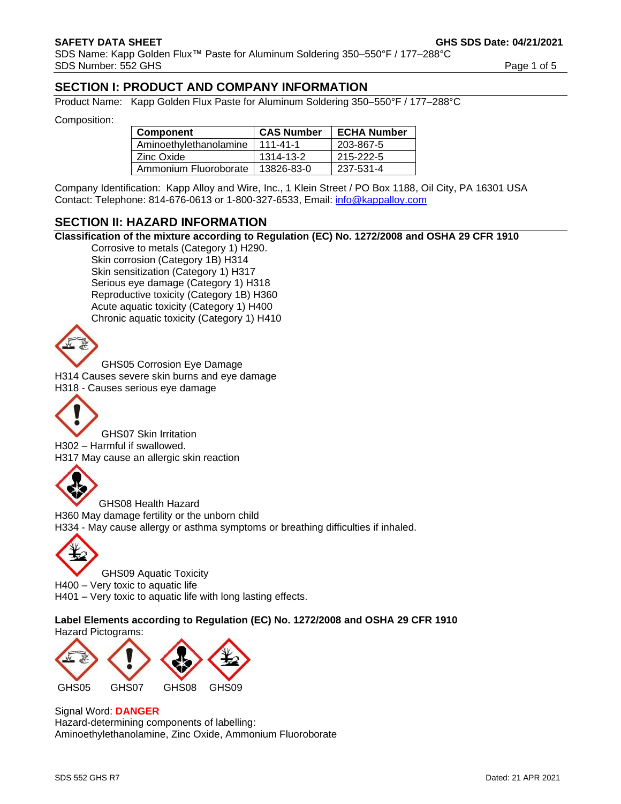SDS Name: Kapp Golden Flux™ Paste for Aluminum Soldering 350–550°F / 177–288°C SDS Number: 552 GHS Page 1 of 5

# **SECTION I: PRODUCT AND COMPANY INFORMATION**

Product Name: Kapp Golden Flux Paste for Aluminum Soldering 350–550°F / 177–288°C

Composition:

| <b>Component</b>       | <b>CAS Number</b> | <b>ECHA Number</b> |
|------------------------|-------------------|--------------------|
| Aminoethylethanolamine | $111 - 41 - 1$    | 203-867-5          |
| Zinc Oxide             | 1314-13-2         | 215-222-5          |
| Ammonium Fluoroborate  | 13826-83-0        | 237-531-4          |

Company Identification: Kapp Alloy and Wire, Inc., 1 Klein Street / PO Box 1188, Oil City, PA 16301 USA Contact: Telephone: 814-676-0613 or 1-800-327-6533, Email: [info@kappalloy.com](mailto:info@kappalloy.com)

## **SECTION II: HAZARD INFORMATION**

**Classification of the mixture according to Regulation (EC) No. 1272/2008 and OSHA 29 CFR 1910**

Corrosive to metals (Category 1) H290. Skin corrosion (Category 1B) H314 Skin sensitization (Category 1) H317 Serious eye damage (Category 1) H318 Reproductive toxicity (Category 1B) H360 Acute aquatic toxicity (Category 1) H400 Chronic aquatic toxicity (Category 1) H410



GHS05 Corrosion Eye Damage H314 Causes severe skin burns and eye damage H318 - Causes serious eye damage



GHS07 Skin Irritation H302 – Harmful if swallowed. H317 May cause an allergic skin reaction



GHS08 Health Hazard H360 May damage fertility or the unborn child H334 - May cause allergy or asthma symptoms or breathing difficulties if inhaled.



GHS09 Aquatic Toxicity H400 – Very toxic to aquatic life H401 – Very toxic to aquatic life with long lasting effects.

**Label Elements according to Regulation (EC) No. 1272/2008 and OSHA 29 CFR 1910** Hazard Pictograms:



#### Signal Word: **DANGER**

Hazard-determining components of labelling: Aminoethylethanolamine, Zinc Oxide, Ammonium Fluoroborate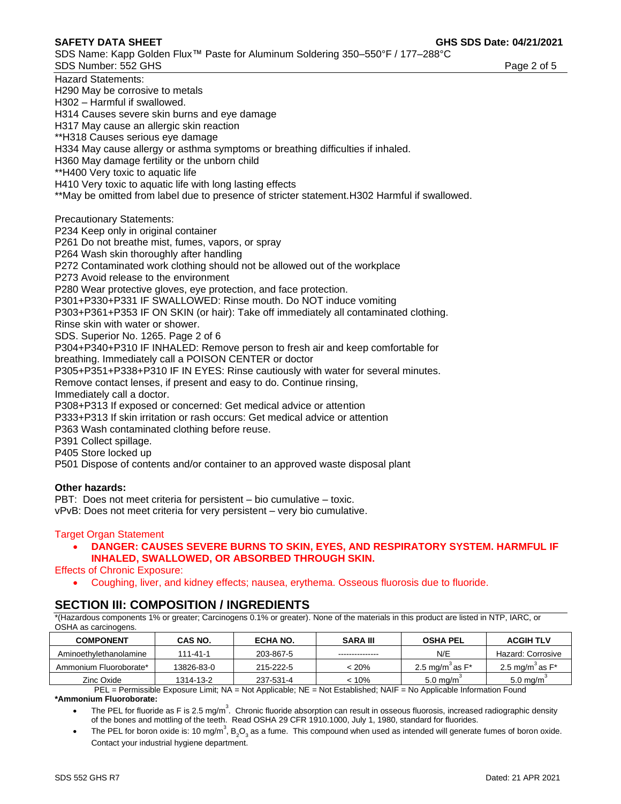SDS Name: Kapp Golden Flux™ Paste for Aluminum Soldering 350–550°F / 177–288°C SDS Number: 552 GHS Page 2 of 5

Hazard Statements: H290 May be corrosive to metals H302 – Harmful if swallowed. H314 Causes severe skin burns and eye damage H317 May cause an allergic skin reaction \*\*H318 Causes serious eye damage H334 May cause allergy or asthma symptoms or breathing difficulties if inhaled. H360 May damage fertility or the unborn child \*\*H400 Very toxic to aquatic life H410 Very toxic to aquatic life with long lasting effects \*\*May be omitted from label due to presence of stricter statement.H302 Harmful if swallowed. Precautionary Statements: P234 Keep only in original container P261 Do not breathe mist, fumes, vapors, or spray P264 Wash skin thoroughly after handling P272 Contaminated work clothing should not be allowed out of the workplace P273 Avoid release to the environment P280 Wear protective gloves, eye protection, and face protection. P301+P330+P331 IF SWALLOWED: Rinse mouth. Do NOT induce vomiting P303+P361+P353 IF ON SKIN (or hair): Take off immediately all contaminated clothing. Rinse skin with water or shower. SDS. Superior No. 1265. Page 2 of 6 P304+P340+P310 IF INHALED: Remove person to fresh air and keep comfortable for breathing. Immediately call a POISON CENTER or doctor P305+P351+P338+P310 IF IN EYES: Rinse cautiously with water for several minutes. Remove contact lenses, if present and easy to do. Continue rinsing, Immediately call a doctor. P308+P313 If exposed or concerned: Get medical advice or attention P333+P313 If skin irritation or rash occurs: Get medical advice or attention P363 Wash contaminated clothing before reuse. P391 Collect spillage. P405 Store locked up P501 Dispose of contents and/or container to an approved waste disposal plant

#### **Other hazards:**

PBT: Does not meet criteria for persistent – bio cumulative – toxic. vPvB: Does not meet criteria for very persistent – very bio cumulative.

#### Target Organ Statement

• **DANGER: CAUSES SEVERE BURNS TO SKIN, EYES, AND RESPIRATORY SYSTEM. HARMFUL IF INHALED, SWALLOWED, OR ABSORBED THROUGH SKIN.** 

Effects of Chronic Exposure:

• Coughing, liver, and kidney effects; nausea, erythema. Osseous fluorosis due to fluoride.

## **SECTION III: COMPOSITION / INGREDIENTS**

\*(Hazardous components 1% or greater; Carcinogens 0.1% or greater). None of the materials in this product are listed in NTP, IARC, or OSHA as carcinogens.

| <b>COMPONENT</b>       | CAS NO.                                                                                                                                                                                                                                                                                                                            | ECHA NO.  | <b>SARA III</b> | <b>OSHA PEL</b>             | <b>ACGIH TLV</b>               |
|------------------------|------------------------------------------------------------------------------------------------------------------------------------------------------------------------------------------------------------------------------------------------------------------------------------------------------------------------------------|-----------|-----------------|-----------------------------|--------------------------------|
| Aminoethylethanolamine | 111-41-1                                                                                                                                                                                                                                                                                                                           | 203-867-5 | --------------  | N/E                         | Hazard: Corrosive              |
| Ammonium Fluoroborate* | 13826-83-0                                                                                                                                                                                                                                                                                                                         | 215-222-5 | 120%            | 2.5 mg/m $\degree$ as $F^*$ | 2.5 mg/m <sup>3</sup> as $F^*$ |
| Zinc Oxide             | 1314-13-2                                                                                                                                                                                                                                                                                                                          | 237-531-4 | < 10%           | $5.0 \text{ ma/m}$          | $5.0 \text{ ma/m}$             |
|                        | $\mathbb{R}$ $\mathbb{R}$ $\mathbb{R}$ $\mathbb{R}$ $\mathbb{R}$ $\mathbb{R}$ $\mathbb{R}$ $\mathbb{R}$ $\mathbb{R}$ $\mathbb{R}$ $\mathbb{R}$ $\mathbb{R}$ $\mathbb{R}$ $\mathbb{R}$ $\mathbb{R}$ $\mathbb{R}$ $\mathbb{R}$ $\mathbb{R}$ $\mathbb{R}$ $\mathbb{R}$ $\mathbb{R}$ $\mathbb{R}$ $\mathbb{R}$ $\mathbb{R}$ $\mathbb{$ |           |                 | .                           |                                |

PEL = Permissible Exposure Limit; NA = Not Applicable; NE = Not Established; NAIF = No Applicable Information Found **\*Ammonium Fluoroborate:** 

- The PEL for fluoride as F is 2.5 mg/m<sup>3</sup>. Chronic fluoride absorption can result in osseous fluorosis, increased radiographic density of the bones and mottling of the teeth. Read OSHA 29 CFR 1910.1000, July 1, 1980, standard for fluorides.
- The PEL for boron oxide is: 10 mg/m<sup>3</sup>, B<sub>2</sub>O<sub>3</sub> as a fume. This compound when used as intended will generate fumes of boron oxide. Contact your industrial hygiene department.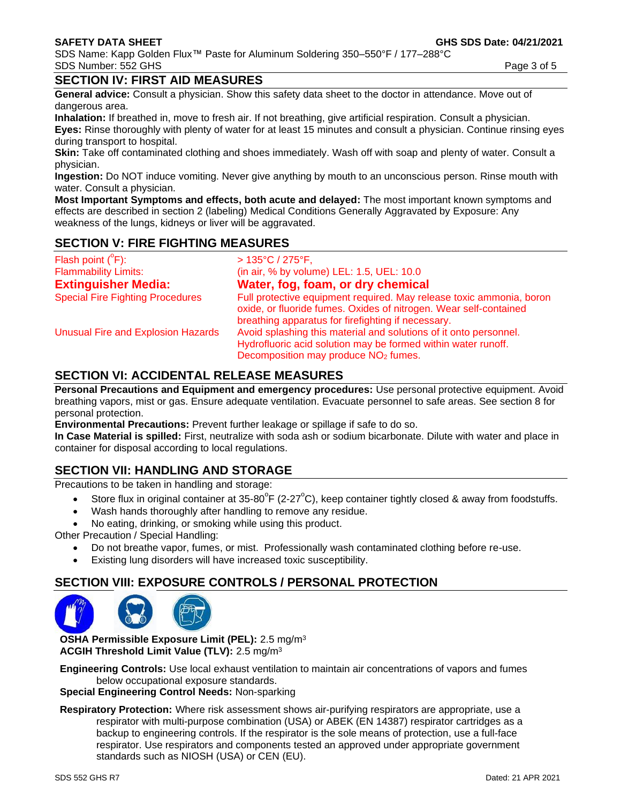## **SECTION IV: FIRST AID MEASURES**

**General advice:** Consult a physician. Show this safety data sheet to the doctor in attendance. Move out of dangerous area.

**Inhalation:** If breathed in, move to fresh air. If not breathing, give artificial respiration. Consult a physician. **Eyes:** Rinse thoroughly with plenty of water for at least 15 minutes and consult a physician. Continue rinsing eyes during transport to hospital.

**Skin:** Take off contaminated clothing and shoes immediately. Wash off with soap and plenty of water. Consult a physician.

**Ingestion:** Do NOT induce vomiting. Never give anything by mouth to an unconscious person. Rinse mouth with water. Consult a physician.

**Most Important Symptoms and effects, both acute and delayed:** The most important known symptoms and effects are described in section 2 (labeling) Medical Conditions Generally Aggravated by Exposure: Any weakness of the lungs, kidneys or liver will be aggravated.

## **SECTION V: FIRE FIGHTING MEASURES**

| Flash point $(^{\circ}F)$ :               | $>135^{\circ}C/275^{\circ}F$ ,                                                                                                                                                                  |
|-------------------------------------------|-------------------------------------------------------------------------------------------------------------------------------------------------------------------------------------------------|
| <b>Flammability Limits:</b>               | (in air, % by volume) LEL: 1.5, UEL: 10.0                                                                                                                                                       |
| <b>Extinguisher Media:</b>                | Water, fog, foam, or dry chemical                                                                                                                                                               |
| <b>Special Fire Fighting Procedures</b>   | Full protective equipment required. May release toxic ammonia, boron<br>oxide, or fluoride fumes. Oxides of nitrogen. Wear self-contained<br>breathing apparatus for firefighting if necessary. |
| <b>Unusual Fire and Explosion Hazards</b> | Avoid splashing this material and solutions of it onto personnel.<br>Hydrofluoric acid solution may be formed within water runoff.<br>Decomposition may produce NO <sub>2</sub> fumes.          |

## **SECTION VI: ACCIDENTAL RELEASE MEASURES**

**Personal Precautions and Equipment and emergency procedures:** Use personal protective equipment. Avoid breathing vapors, mist or gas. Ensure adequate ventilation. Evacuate personnel to safe areas. See section 8 for personal protection.

**Environmental Precautions:** Prevent further leakage or spillage if safe to do so.

**In Case Material is spilled:** First, neutralize with soda ash or sodium bicarbonate. Dilute with water and place in container for disposal according to local regulations.

# **SECTION VII: HANDLING AND STORAGE**

Precautions to be taken in handling and storage:

- Store flux in original container at 35-80 $^{\circ}$ F (2-27 $^{\circ}$ C), keep container tightly closed & away from foodstuffs.
- Wash hands thoroughly after handling to remove any residue.
- No eating, drinking, or smoking while using this product.

Other Precaution / Special Handling:

- Do not breathe vapor, fumes, or mist. Professionally wash contaminated clothing before re-use.
- Existing lung disorders will have increased toxic susceptibility.

## **SECTION VIII: EXPOSURE CONTROLS / PERSONAL PROTECTION**



**OSHA Permissible Exposure Limit (PEL):** 2.5 mg/m<sup>3</sup> **ACGIH Threshold Limit Value (TLV):** 2.5 mg/m<sup>3</sup>

**Engineering Controls:** Use local exhaust ventilation to maintain air concentrations of vapors and fumes below occupational exposure standards.

### **Special Engineering Control Needs:** Non-sparking

**Respiratory Protection:** Where risk assessment shows air-purifying respirators are appropriate, use a respirator with multi-purpose combination (USA) or ABEK (EN 14387) respirator cartridges as a backup to engineering controls. If the respirator is the sole means of protection, use a full-face respirator. Use respirators and components tested an approved under appropriate government standards such as NIOSH (USA) or CEN (EU).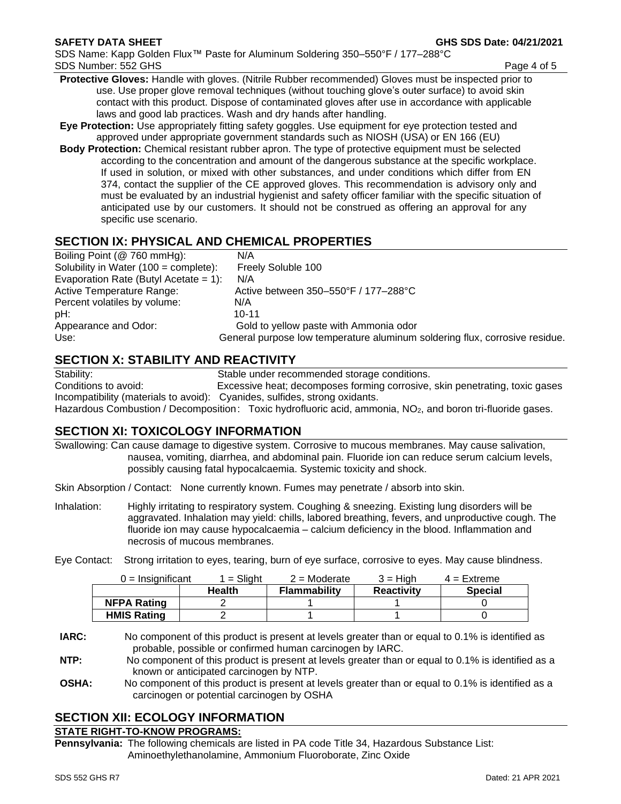- **Protective Gloves:** Handle with gloves. (Nitrile Rubber recommended) Gloves must be inspected prior to use. Use proper glove removal techniques (without touching glove's outer surface) to avoid skin contact with this product. Dispose of contaminated gloves after use in accordance with applicable laws and good lab practices. Wash and dry hands after handling.
- **Eye Protection:** Use appropriately fitting safety goggles. Use equipment for eye protection tested and approved under appropriate government standards such as NIOSH (USA) or EN 166 (EU)
- **Body Protection:** Chemical resistant rubber apron. The type of protective equipment must be selected according to the concentration and amount of the dangerous substance at the specific workplace. If used in solution, or mixed with other substances, and under conditions which differ from EN 374, contact the supplier of the CE approved gloves. This recommendation is advisory only and must be evaluated by an industrial hygienist and safety officer familiar with the specific situation of anticipated use by our customers. It should not be construed as offering an approval for any specific use scenario.

# **SECTION IX: PHYSICAL AND CHEMICAL PROPERTIES**

| N/A                                                                         |
|-----------------------------------------------------------------------------|
| Freely Soluble 100                                                          |
| Evaporation Rate (Butyl Acetate = $1$ ):<br>N/A                             |
| Active between 350–550°F / 177–288°C                                        |
| N/A                                                                         |
| $10 - 11$                                                                   |
| Gold to yellow paste with Ammonia odor                                      |
| General purpose low temperature aluminum soldering flux, corrosive residue. |
|                                                                             |

## **SECTION X: STABILITY AND REACTIVITY**

Stability: Stable under recommended storage conditions.

Conditions to avoid: Excessive heat; decomposes forming corrosive, skin penetrating, toxic gases Incompatibility (materials to avoid): Cyanides, sulfides, strong oxidants.

Hazardous Combustion / Decomposition: Toxic hydrofluoric acid, ammonia, NO<sub>2</sub>, and boron tri-fluoride gases.

# **SECTION XI: TOXICOLOGY INFORMATION**

Swallowing: Can cause damage to digestive system. Corrosive to mucous membranes. May cause salivation, nausea, vomiting, diarrhea, and abdominal pain. Fluoride ion can reduce serum calcium levels, possibly causing fatal hypocalcaemia. Systemic toxicity and shock.

Skin Absorption / Contact: None currently known. Fumes may penetrate / absorb into skin.

Inhalation: Highly irritating to respiratory system. Coughing & sneezing. Existing lung disorders will be aggravated. Inhalation may yield: chills, labored breathing, fevers, and unproductive cough. The fluoride ion may cause hypocalcaemia – calcium deficiency in the blood. Inflammation and necrosis of mucous membranes.

Eye Contact: Strong irritation to eyes, tearing, burn of eye surface, corrosive to eyes. May cause blindness.

| $0 =$ Insignificant | $=$ Slight    | $2$ = Moderate      | $3 = H$ iah       | $4 =$ Extreme  |
|---------------------|---------------|---------------------|-------------------|----------------|
|                     | <b>Health</b> | <b>Flammability</b> | <b>Reactivity</b> | <b>Special</b> |
| <b>NFPA Rating</b>  |               |                     |                   |                |
| <b>HMIS Rating</b>  |               |                     |                   |                |

**IARC:** No component of this product is present at levels greater than or equal to 0.1% is identified as probable, possible or confirmed human carcinogen by IARC.

**NTP:** No component of this product is present at levels greater than or equal to 0.1% is identified as a known or anticipated carcinogen by NTP.

**OSHA:** No component of this product is present at levels greater than or equal to 0.1% is identified as a carcinogen or potential carcinogen by OSHA

# **SECTION XII: ECOLOGY INFORMATION**

### **STATE RIGHT-TO-KNOW PROGRAMS:**

**Pennsylvania:** The following chemicals are listed in PA code Title 34, Hazardous Substance List: Aminoethylethanolamine, Ammonium Fluoroborate, Zinc Oxide